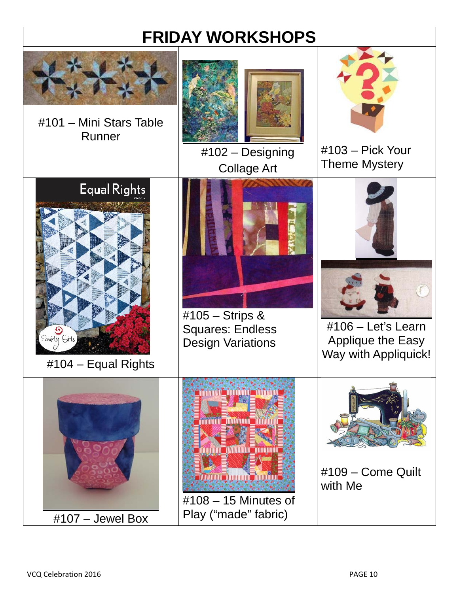# **FRIDAY WORKSHOPS**

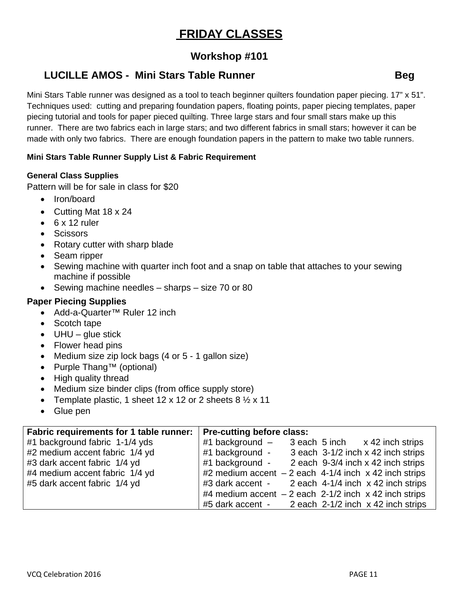# **FRIDAY CLASSES**

# **Workshop #101**

# **LUCILLE AMOS - Mini Stars Table Runner Construction Channel Beg**

Mini Stars Table runner was designed as a tool to teach beginner quilters foundation paper piecing. 17" x 51". Techniques used: cutting and preparing foundation papers, floating points, paper piecing templates, paper piecing tutorial and tools for paper pieced quilting. Three large stars and four small stars make up this runner. There are two fabrics each in large stars; and two different fabrics in small stars; however it can be made with only two fabrics. There are enough foundation papers in the pattern to make two table runners.

#### **Mini Stars Table Runner Supply List & Fabric Requirement**

#### **General Class Supplies**

Pattern will be for sale in class for \$20

- Iron/board
- Cutting Mat 18 x 24
- $6 \times 12$  ruler
- Scissors
- Rotary cutter with sharp blade
- Seam ripper
- Sewing machine with quarter inch foot and a snap on table that attaches to your sewing machine if possible
- $\bullet$  Sewing machine needles sharps size 70 or 80

#### **Paper Piecing Supplies**

- Add-a-Quarter™ Ruler 12 inch
- Scotch tape
- $\bullet$  UHU glue stick
- Flower head pins
- Medium size zip lock bags (4 or 5 1 gallon size)
- Purple Thang™ (optional)
- High quality thread
- Medium size binder clips (from office supply store)
- Template plastic, 1 sheet 12 x 12 or 2 sheets  $8\frac{1}{2}$  x 11
- Glue pen

| Fabric requirements for 1 table runner: | <b>Pre-cutting before class:</b>                        |
|-----------------------------------------|---------------------------------------------------------|
| #1 background fabric 1-1/4 yds          | #1 background $-$ 3 each 5 inch $\times$ 42 inch strips |
| #2 medium accent fabric 1/4 yd          | #1 background - 3 each 3-1/2 inch x 42 inch strips      |
| #3 dark accent fabric 1/4 yd            | #1 background - 2 each 9-3/4 inch x 42 inch strips      |
| #4 medium accent fabric 1/4 yd          | #2 medium accent $-2$ each 4-1/4 inch x 42 inch strips  |
| #5 dark accent fabric 1/4 yd            | #3 dark accent - 2 each 4-1/4 inch x 42 inch strips     |
|                                         | #4 medium accent $-2$ each 2-1/2 inch x 42 inch strips  |
|                                         | $#5$ dark accent - $2$ each 2-1/2 inch x 42 inch strips |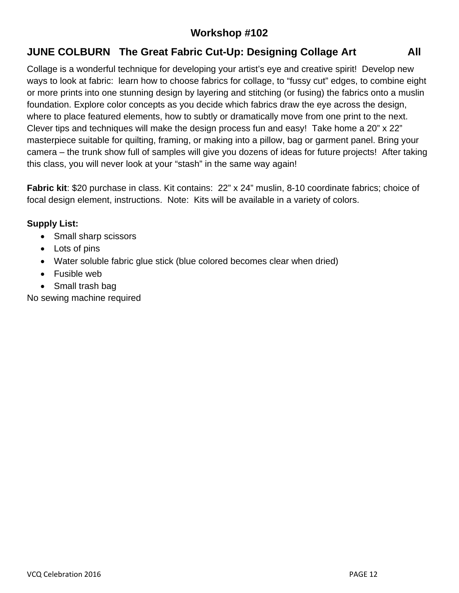# **Workshop #102**

# **JUNE COLBURN The Great Fabric Cut-Up: Designing Collage Art Fig. 2.1 All**

Collage is a wonderful technique for developing your artist's eye and creative spirit! Develop new ways to look at fabric: learn how to choose fabrics for collage, to "fussy cut" edges, to combine eight or more prints into one stunning design by layering and stitching (or fusing) the fabrics onto a muslin foundation. Explore color concepts as you decide which fabrics draw the eye across the design, where to place featured elements, how to subtly or dramatically move from one print to the next. Clever tips and techniques will make the design process fun and easy! Take home a 20" x 22" masterpiece suitable for quilting, framing, or making into a pillow, bag or garment panel. Bring your camera – the trunk show full of samples will give you dozens of ideas for future projects! After taking this class, you will never look at your "stash" in the same way again!

**Fabric kit**: \$20 purchase in class. Kit contains: 22" x 24" muslin, 8-10 coordinate fabrics; choice of focal design element, instructions. Note: Kits will be available in a variety of colors.

#### **Supply List:**

- Small sharp scissors
- Lots of pins
- Water soluble fabric glue stick (blue colored becomes clear when dried)
- Fusible web
- Small trash bag

No sewing machine required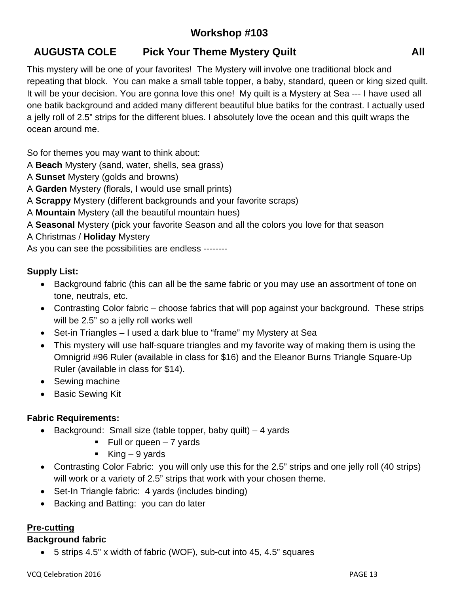# **Workshop #103**

# **AUGUSTA COLE Pick Your Theme Mystery Quilt All**

This mystery will be one of your favorites! The Mystery will involve one traditional block and repeating that block. You can make a small table topper, a baby, standard, queen or king sized quilt. It will be your decision. You are gonna love this one! My quilt is a Mystery at Sea --- I have used all one batik background and added many different beautiful blue batiks for the contrast. I actually used a jelly roll of 2.5" strips for the different blues. I absolutely love the ocean and this quilt wraps the ocean around me.

So for themes you may want to think about:

- A **Beach** Mystery (sand, water, shells, sea grass)
- A **Sunset** Mystery (golds and browns)
- A **Garden** Mystery (florals, I would use small prints)
- A **Scrappy** Mystery (different backgrounds and your favorite scraps)
- A **Mountain** Mystery (all the beautiful mountain hues)
- A **Seasonal** Mystery (pick your favorite Season and all the colors you love for that season
- A Christmas / **Holiday** Mystery

As you can see the possibilities are endless --------

#### **Supply List:**

- Background fabric (this can all be the same fabric or you may use an assortment of tone on tone, neutrals, etc.
- Contrasting Color fabric choose fabrics that will pop against your background. These strips will be 2.5" so a jelly roll works well
- Set-in Triangles I used a dark blue to "frame" my Mystery at Sea
- This mystery will use half-square triangles and my favorite way of making them is using the Omnigrid #96 Ruler (available in class for \$16) and the Eleanor Burns Triangle Square-Up Ruler (available in class for \$14).
- Sewing machine
- Basic Sewing Kit

#### **Fabric Requirements:**

- $\bullet$  Background: Small size (table topper, baby quilt) 4 yards
	- $\blacksquare$  Full or queen 7 yards
	- King  $-9$  yards
- Contrasting Color Fabric: you will only use this for the 2.5" strips and one jelly roll (40 strips) will work or a variety of 2.5" strips that work with your chosen theme.
- Set-In Triangle fabric: 4 yards (includes binding)
- Backing and Batting: you can do later

### **Pre-cutting**

### **Background fabric**

5 strips 4.5" x width of fabric (WOF), sub-cut into 45, 4.5" squares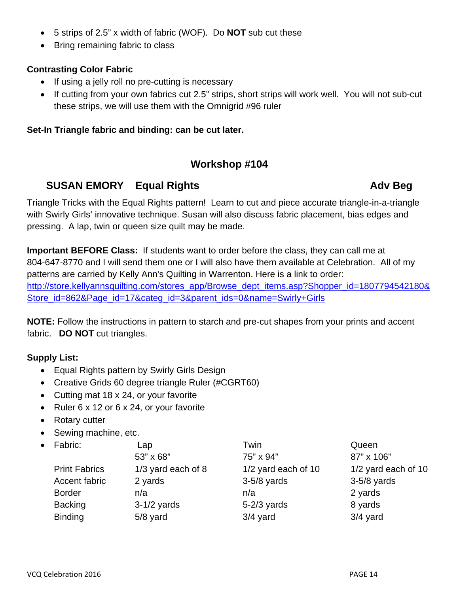- 5 strips of 2.5" x width of fabric (WOF). Do **NOT** sub cut these
- Bring remaining fabric to class

#### **Contrasting Color Fabric**

- If using a jelly roll no pre-cutting is necessary
- If cutting from your own fabrics cut 2.5" strips, short strips will work well. You will not sub-cut these strips, we will use them with the Omnigrid #96 ruler

#### **Set-In Triangle fabric and binding: can be cut later.**

# **Workshop #104**

### **SUSAN EMORY** Equal Rights **Advisory Equal Rights** Adv Beg

Triangle Tricks with the Equal Rights pattern! Learn to cut and piece accurate triangle-in-a-triangle with Swirly Girls' innovative technique. Susan will also discuss fabric placement, bias edges and pressing. A lap, twin or queen size quilt may be made.

**Important BEFORE Class:** If students want to order before the class, they can call me at 804-647-8770 and I will send them one or I will also have them available at Celebration. All of my patterns are carried by Kelly Ann's Quilting in Warrenton. Here is a link to order: http://store.kellyannsquilting.com/stores\_app/Browse\_dept\_items.asp?Shopper\_id=1807794542180& Store id=862&Page id=17&categ id=3&parent ids=0&name=Swirly+Girls

**NOTE:** Follow the instructions in pattern to starch and pre-cut shapes from your prints and accent fabric. **DO NOT** cut triangles.

#### **Supply List:**

- Equal Rights pattern by Swirly Girls Design
- Creative Grids 60 degree triangle Ruler (#CGRT60)
- Cutting mat 18 x 24, or your favorite
- Ruler  $6 \times 12$  or  $6 \times 24$ , or your favorite
- Rotary cutter
- Sewing machine, etc.
- Fabric: Lap Lap Twin Twin Queen  $53" \times 68"$  75" x 94" 87" x 106" Print Fabrics 1/3 yard each of 8 1/2 yard each of 10 1/2 yard each of 10 Accent fabric 2 yards 3-5/8 yards 3-5/8 yards 3-5/8 yards Border **n/a** n/a n/a n/a n/a n/a 2 yards Backing 3-1/2 yards 5-2/3 yards 8 yards Binding 5/8 yard 3/4 yard 304 xard 3/4 yard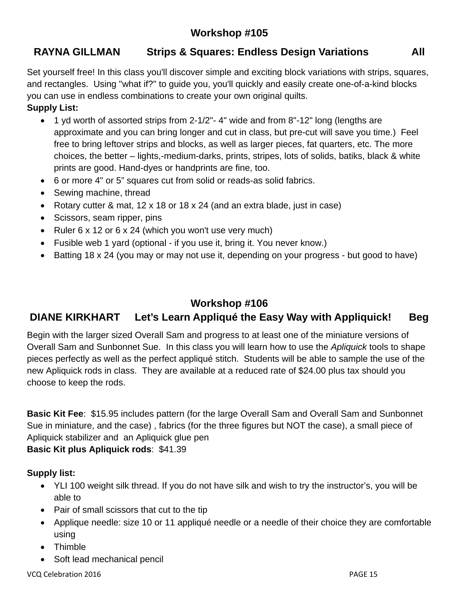# **Workshop #105**

# **RAYNA GILLMAN Strips & Squares: Endless Design Variations All**

Set yourself free! In this class you'll discover simple and exciting block variations with strips, squares, and rectangles. Using "what if?" to guide you, you'll quickly and easily create one-of-a-kind blocks you can use in endless combinations to create your own original quilts.

### **Supply List:**

- 1 yd worth of assorted strips from 2-1/2"- 4" wide and from 8"-12" long (lengths are approximate and you can bring longer and cut in class, but pre-cut will save you time.) Feel free to bring leftover strips and blocks, as well as larger pieces, fat quarters, etc. The more choices, the better – lights,-medium-darks, prints, stripes, lots of solids, batiks, black & white prints are good. Hand-dyes or handprints are fine, too.
- 6 or more 4" or 5" squares cut from solid or reads-as solid fabrics.
- Sewing machine, thread
- Rotary cutter & mat, 12 x 18 or 18 x 24 (and an extra blade, just in case)
- Scissors, seam ripper, pins
- Ruler  $6 \times 12$  or  $6 \times 24$  (which you won't use very much)
- Fusible web 1 yard (optional if you use it, bring it. You never know.)
- Batting 18 x 24 (you may or may not use it, depending on your progress but good to have)

# **Workshop #106**

# **DIANE KIRKHART Let's Learn Appliqué the Easy Way with Appliquick! Beg**

Begin with the larger sized Overall Sam and progress to at least one of the miniature versions of Overall Sam and Sunbonnet Sue. In this class you will learn how to use the *Apliquick* tools to shape pieces perfectly as well as the perfect appliqué stitch. Students will be able to sample the use of the new Apliquick rods in class. They are available at a reduced rate of \$24.00 plus tax should you choose to keep the rods.

**Basic Kit Fee**: \$15.95 includes pattern (for the large Overall Sam and Overall Sam and Sunbonnet Sue in miniature, and the case) , fabrics (for the three figures but NOT the case), a small piece of Apliquick stabilizer and an Apliquick glue pen **Basic Kit plus Apliquick rods**: \$41.39

### **Supply list:**

- YLI 100 weight silk thread. If you do not have silk and wish to try the instructor's, you will be able to
- Pair of small scissors that cut to the tip
- Applique needle: size 10 or 11 appliqué needle or a needle of their choice they are comfortable using
- Thimble
- Soft lead mechanical pencil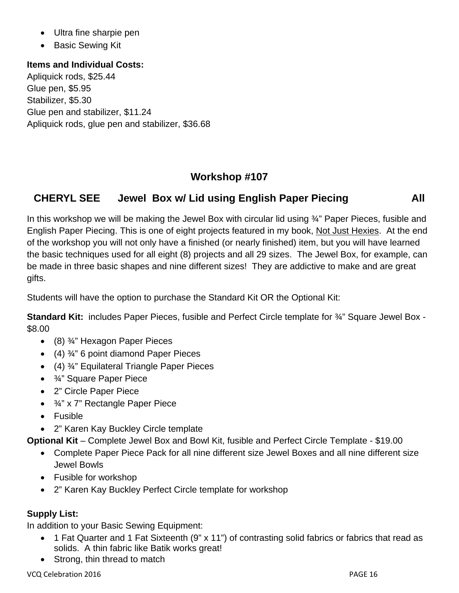- Ultra fine sharpie pen
- Basic Sewing Kit

#### **Items and Individual Costs:**

Apliquick rods, \$25.44 Glue pen, \$5.95 Stabilizer, \$5.30 Glue pen and stabilizer, \$11.24 Apliquick rods, glue pen and stabilizer, \$36.68

#### **Workshop #107**

### **CHERYL SEE Jewel Box w/ Lid using English Paper Piecing All**

In this workshop we will be making the Jewel Box with circular lid using 3<sup>2</sup> Paper Pieces, fusible and English Paper Piecing. This is one of eight projects featured in my book, Not Just Hexies. At the end of the workshop you will not only have a finished (or nearly finished) item, but you will have learned the basic techniques used for all eight (8) projects and all 29 sizes. The Jewel Box, for example, can be made in three basic shapes and nine different sizes! They are addictive to make and are great gifts.

Students will have the option to purchase the Standard Kit OR the Optional Kit:

**Standard Kit:** includes Paper Pieces, fusible and Perfect Circle template for ¾" Square Jewel Box - \$8.00

- (8) ¾" Hexagon Paper Pieces
- $(4)$   $\frac{3}{4}$ " 6 point diamond Paper Pieces
- (4) ¾" Equilateral Triangle Paper Pieces
- ¾" Square Paper Piece
- 2" Circle Paper Piece
- ¾" x 7" Rectangle Paper Piece
- Fusible
- 2" Karen Kay Buckley Circle template

**Optional Kit** – Complete Jewel Box and Bowl Kit, fusible and Perfect Circle Template - \$19.00

- Complete Paper Piece Pack for all nine different size Jewel Boxes and all nine different size Jewel Bowls
- Fusible for workshop
- 2" Karen Kay Buckley Perfect Circle template for workshop

#### **Supply List:**

In addition to your Basic Sewing Equipment:

- 1 Fat Quarter and 1 Fat Sixteenth (9" x 11") of contrasting solid fabrics or fabrics that read as solids. A thin fabric like Batik works great!
- Strong, thin thread to match